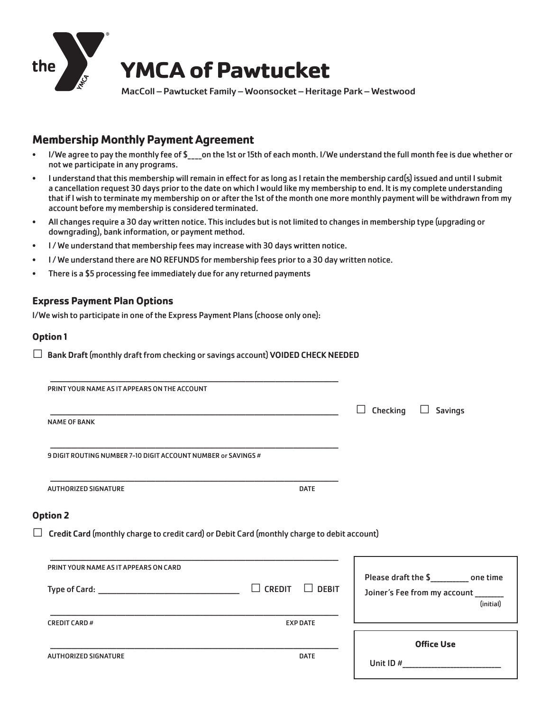

## **Membership Monthly Payment Agreement**

- I/We agree to pay the monthly fee of \$\_\_\_\_on the 1st or 15th of each month. I/We understand the full month fee is due whether or not we participate in any programs.
- I understand that this membership will remain in effect for as long as I retain the membership card(s) issued and until I submit a cancellation request 30 days prior to the date on which I would like my membership to end. It is my complete understanding that if I wish to terminate my membership on or after the 1st of the month one more monthly payment will be withdrawn from my account before my membership is considered terminated.
- All changes require a 30 day written notice. This includes but is not limited to changes in membership type (upgrading or downgrading), bank information, or payment method.
- I/We understand that membership fees may increase with 30 days written notice.
- I / We understand there are NO REFUNDS for membership fees prior to a 30 day written notice.
- There is a \$5 processing fee immediately due for any returned payments

## **Express Payment Plan Options**

I/We wish to participate in one of the Express Payment Plans (choose only one):

#### **Option 1**

 $\Box$  Bank Draft (monthly draft from checking or savings account) VOIDED CHECK NEEDED

| PRINT YOUR NAME AS IT APPEARS ON THE ACCOUNT                  |                                                                                                    |                     |                                                                                     |
|---------------------------------------------------------------|----------------------------------------------------------------------------------------------------|---------------------|-------------------------------------------------------------------------------------|
|                                                               |                                                                                                    | Checking<br>$\perp$ | <b>Savings</b>                                                                      |
| <b>NAME OF BANK</b>                                           |                                                                                                    |                     |                                                                                     |
| 9 DIGIT ROUTING NUMBER 7-10 DIGIT ACCOUNT NUMBER or SAVINGS # |                                                                                                    |                     |                                                                                     |
| <b>AUTHORIZED SIGNATURE</b>                                   | <b>DATE</b>                                                                                        |                     |                                                                                     |
| <b>Option 2</b>                                               |                                                                                                    |                     |                                                                                     |
|                                                               | $\Box$ Credit Card (monthly charge to credit card) or Debit Card (monthly charge to debit account) |                     |                                                                                     |
| PRINT YOUR NAME AS IT APPEARS ON CARD                         |                                                                                                    |                     |                                                                                     |
|                                                               | $\Box$ CREDIT<br>$\Box$ DEBIT                                                                      |                     | Please draft the \$__________ one time<br>Joiner's Fee from my account<br>(initial) |
|                                                               |                                                                                                    |                     |                                                                                     |
| <b>CREDIT CARD #</b>                                          | <b>EXP DATE</b>                                                                                    |                     |                                                                                     |
|                                                               |                                                                                                    |                     |                                                                                     |
| <b>AUTHORIZED SIGNATURE</b>                                   | <b>DATE</b>                                                                                        |                     | <b>Office Use</b>                                                                   |